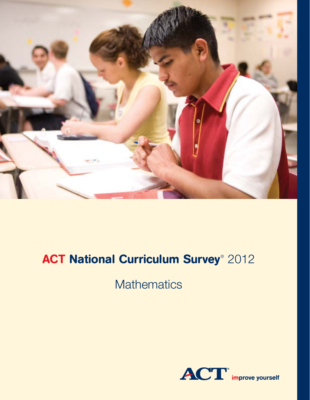

# **ACT National Curriculum Survey**® 2012

**Mathematics** 

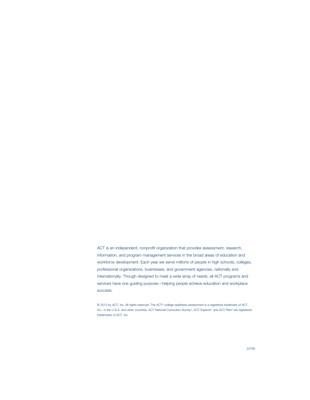ACT is an independent, nonprofit organization that provides assessment, research, information, and program management services in the broad areas of education and workforce development. Each year we serve millions of people in high schools, colleges, professional organizations, businesses, and government agencies, nationally and internationally. Though designed to meet a wide array of needs, all ACT programs and services have one guiding purpose—helping people achieve education and workplace success.

© 2013 by ACT, Inc. All rights reserved. The ACT® college readiness assessment is a registered trademark of ACT, Inc., in the U.S.A. and other countries. ACT National Curriculum Survey®, ACT Explore®, and ACT Plan® are registered trademarks of ACT, Inc.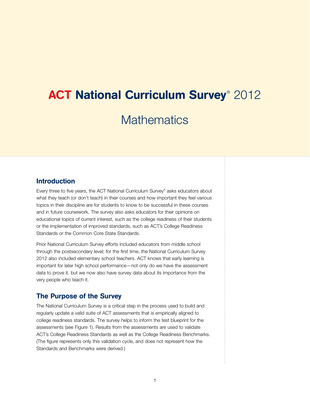# **ACT National Curriculum Survey**® 2012

**Mathematics** 

## Introduction

Every three to five years, the ACT National Curriculum Survey® asks educators about what they teach (or don't teach) in their courses and how important they feel various topics in their discipline are for students to know to be successful in these courses and in future coursework. The survey also asks educators for their opinions on educational topics of current interest, such as the college readiness of their students or the implementation of improved standards, such as ACT's College Readiness Standards or the Common Core State Standards.

Prior National Curriculum Survey efforts included educators from middle school through the postsecondary level; for the first time, the National Curriculum Survey 2012 also included elementary school teachers. ACT knows that early learning is important for later high school performance—not only do we have the assessment data to prove it, but we now also have survey data about its importance from the very people who teach it.

### The Purpose of the Survey

The National Curriculum Survey is a critical step in the process used to build and regularly update a valid suite of ACT assessments that is empirically aligned to college readiness standards. The survey helps to inform the test blueprint for the assessments (see Figure 1). Results from the assessments are used to validate ACT's College Readiness Standards as well as the College Readiness Benchmarks. (The figure represents only this validation cycle, and does not represent how the Standards and Benchmarks were derived.)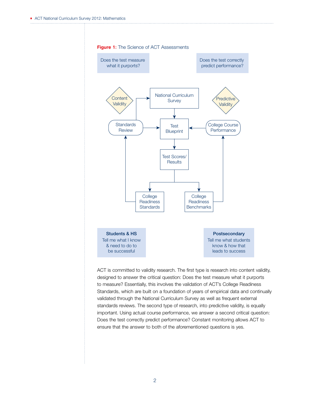

ACT is committed to validity research. The first type is research into content validity, designed to answer the critical question: Does the test measure what it purports to measure? Essentially, this involves the validation of ACT's College Readiness Standards, which are built on a foundation of years of empirical data and continually validated through the National Curriculum Survey as well as frequent external standards reviews. The second type of research, into predictive validity, is equally important. Using actual course performance, we answer a second critical question: Does the test correctly predict performance? Constant monitoring allows ACT to ensure that the answer to both of the aforementioned questions is yes.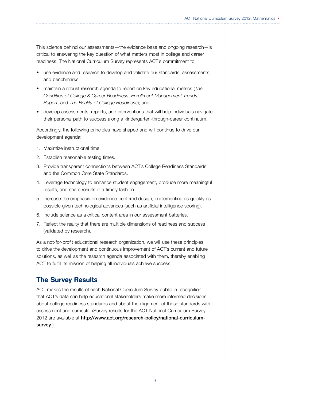This science behind our assessments—the evidence base and ongoing research—is critical to answering the key question of what matters most in college and career readiness. The National Curriculum Survey represents ACT's commitment to:

- use evidence and research to develop and validate our standards, assessments, and benchmarks;
- maintain a robust research agenda to report on key educational metrics (*The Condition of College & Career Readiness*, *Enrollment Management Trends Report*, and *The Reality of College Readiness*); and
- develop assessments, reports, and interventions that will help individuals navigate their personal path to success along a kindergarten-through-career continuum.

Accordingly, the following principles have shaped and will continue to drive our development agenda:

- 1. Maximize instructional time.
- 2. Establish reasonable testing times.
- 3. Provide transparent connections between ACT's College Readiness Standards and the Common Core State Standards.
- 4. Leverage technology to enhance student engagement, produce more meaningful results, and share results in a timely fashion.
- 5. Increase the emphasis on evidence-centered design, implementing as quickly as possible given technological advances (such as artificial intelligence scoring).
- 6. Include science as a critical content area in our assessment batteries.
- 7. Reflect the reality that there are multiple dimensions of readiness and success (validated by research).

As a not-for-profit educational research organization, we will use these principles to drive the development and continuous improvement of ACT's current and future solutions, as well as the research agenda associated with them, thereby enabling ACT to fulfill its mission of helping all individuals achieve success.

## The Survey Results

ACT makes the results of each National Curriculum Survey public in recognition that ACT's data can help educational stakeholders make more informed decisions about college readiness standards and about the alignment of those standards with assessment and curricula. (Survey results for the ACT National Curriculum Survey 2012 are available at http://www.act.org/research-policy/national-curriculumsurvey.)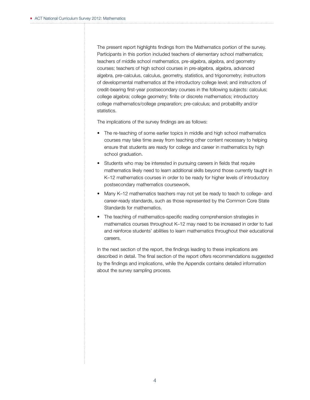The present report highlights findings from the Mathematics portion of the survey. Participants in this portion included teachers of elementary school mathematics; teachers of middle school mathematics, pre-algebra, algebra, and geometry courses; teachers of high school courses in pre-algebra, algebra, advanced algebra, pre-calculus, calculus, geometry, statistics, and trigonometry; instructors of developmental mathematics at the introductory college level; and instructors of credit-bearing first-year postsecondary courses in the following subjects: calculus; college algebra; college geometry; finite or discrete mathematics; introductory college mathematics/college preparation; pre-calculus; and probability and/or statistics.

The implications of the survey findings are as follows:

- The re-teaching of some earlier topics in middle and high school mathematics courses may take time away from teaching other content necessary to helping ensure that students are ready for college and career in mathematics by high school graduation.
- Students who may be interested in pursuing careers in fields that require mathematics likely need to learn additional skills beyond those currently taught in K–12 mathematics courses in order to be ready for higher levels of introductory postsecondary mathematics coursework.
- Many K–12 mathematics teachers may not yet be ready to teach to college- and career-ready standards, such as those represented by the Common Core State Standards for mathematics.
- The teaching of mathematics-specific reading comprehension strategies in mathematics courses throughout K–12 may need to be increased in order to fuel and reinforce students' abilities to learn mathematics throughout their educational careers.

In the next section of the report, the findings leading to these implications are described in detail. The final section of the report offers recommendations suggested by the findings and implications, while the Appendix contains detailed information about the survey sampling process.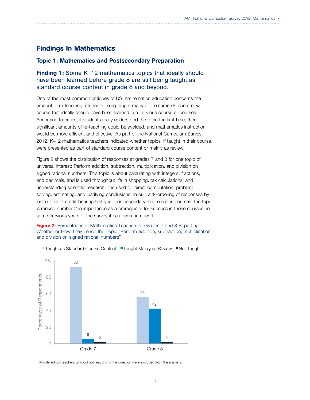## Findings In Mathematics

#### Topic 1: Mathematics and Postsecondary Preparation

#### Finding 1: Some K–12 mathematics topics that ideally should have been learned before grade 8 are still being taught as standard course content in grade 8 and beyond.

One of the most common critiques of US mathematics education concerns the amount of re-teaching: students being taught many of the same skills in a new course that ideally should have been learned in a previous course or courses. According to critics, if students really understood the topic the first time, then significant amounts of re-teaching could be avoided, and mathematics instruction would be more efficient and effective. As part of the National Curriculum Survey 2012, K–12 mathematics teachers indicated whether topics, if taught in their course, were presented as part of standard course content or mainly as review.

Figure 2 shows the distribution of responses at grades 7 and 8 for one topic of universal interest: Perform addition, subtraction, multiplication, and division on signed rational numbers. This topic is about calculating with integers, fractions, and decimals, and is used throughout life in shopping, tax calculations, and understanding scientific research. It is used for direct computation, problem solving, estimating, and justifying conclusions. In our rank-ordering of responses by instructors of credit-bearing first-year postsecondary mathematics courses, the topic is ranked number 2 in importance as a prerequisite for success in those courses; in some previous years of the survey it has been number 1.

**Figure 2:** Percentages of Mathematics Teachers at Grades 7 and 8 Reporting Whether or How They Teach the Topic "Perform addition, subtraction, multiplication, and division on signed rational numbers"1



■Taught as Standard Course Content ■Taught Mainly as Review ■Not Taught

<sup>1</sup> Middle school teachers who did not respond to the question were excluded from the analysis.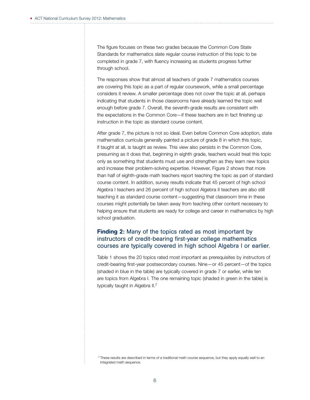The figure focuses on these two grades because the Common Core State Standards for mathematics slate regular course instruction of this topic to be completed in grade 7, with fluency increasing as students progress further through school.

The responses show that almost all teachers of grade 7 mathematics courses are covering this topic as a part of regular coursework, while a small percentage considers it review. A smaller percentage does not cover the topic at all, perhaps indicating that students in those classrooms have already learned the topic well enough before grade 7. Overall, the seventh-grade results are consistent with the expectations in the Common Core—if these teachers are in fact finishing up instruction in the topic as standard course content.

After grade 7, the picture is not so ideal. Even before Common Core adoption, state mathematics curricula generally painted a picture of grade 8 in which this topic, if taught at all, is taught as review. This view also persists in the Common Core, presuming as it does that, beginning in eighth grade, teachers would treat this topic only as something that students must use and strengthen as they learn new topics and increase their problem-solving expertise. However, Figure 2 shows that more than half of eighth-grade math teachers report teaching the topic as part of standard course content. In addition, survey results indicate that 45 percent of high school Algebra I teachers and 26 percent of high school Algebra II teachers are also still teaching it as standard course content—suggesting that classroom time in these courses might potentially be taken away from teaching other content necessary to helping ensure that students are ready for college and career in mathematics by high school graduation.

### **Finding 2:** Many of the topics rated as most important by instructors of credit-bearing first-year college mathematics courses are typically covered in high school Algebra I or earlier.

Table 1 shows the 20 topics rated most important as prerequisites by instructors of credit-bearing first-year postsecondary courses. Nine—or 45 percent—of the topics (shaded in blue in the table) are typically covered in grade 7 or earlier, while ten are topics from Algebra I. The one remaining topic (shaded in green in the table) is typically taught in Algebra II.<sup>2</sup>

<sup>&</sup>lt;sup>2</sup> These results are described in terms of a traditional math course sequence, but they apply equally well to an integrated math sequence.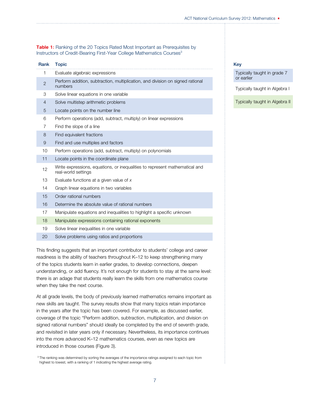**Table 1:** Ranking of the 20 Topics Rated Most Important as Prerequisites by Instructors of Credit-Bearing First-Year College Mathematics Courses<sup>3</sup>

| Rank           | <b>Topic</b>                                                                                       |
|----------------|----------------------------------------------------------------------------------------------------|
| 1              | Evaluate algebraic expressions                                                                     |
| $\overline{2}$ | Perform addition, subtraction, multiplication, and division on signed rational<br>numbers          |
| 3              | Solve linear equations in one variable                                                             |
| $\overline{4}$ | Solve multistep arithmetic problems                                                                |
| 5              | Locate points on the number line                                                                   |
| 6              | Perform operations (add, subtract, multiply) on linear expressions                                 |
| 7              | Find the slope of a line                                                                           |
| 8              | Find equivalent fractions                                                                          |
| 9              | Find and use multiples and factors                                                                 |
| 10             | Perform operations (add, subtract, multiply) on polynomials                                        |
| 11             | Locate points in the coordinate plane                                                              |
| 12             | Write expressions, equations, or inequalities to represent mathematical and<br>real-world settings |
| 13             | Evaluate functions at a given value of $x$                                                         |
| 14             | Graph linear equations in two variables                                                            |
| 15             | Order rational numbers                                                                             |
| 16             | Determine the absolute value of rational numbers                                                   |
| 17             | Manipulate equations and inequalities to highlight a specific unknown                              |
| 18             | Manipulate expressions containing rational exponents                                               |
| 19             | Solve linear inequalities in one variable                                                          |
| 20             | Solve problems using ratios and proportions                                                        |

This finding suggests that an important contributor to students' college and career readiness is the ability of teachers throughout K–12 to keep strengthening many of the topics students learn in earlier grades, to develop connections, deepen understanding, or add fluency. It's not enough for students to stay at the same level: there is an adage that students really learn the skills from one mathematics course when they take the next course.

At all grade levels, the body of previously learned mathematics remains important as new skills are taught. The survey results show that many topics retain importance in the years after the topic has been covered. For example, as discussed earlier, coverage of the topic "Perform addition, subtraction, multiplication, and division on signed rational numbers" should ideally be completed by the end of seventh grade, and revisited in later years only if necessary. Nevertheless, its importance continues into the more advanced K–12 mathematics courses, even as new topics are introduced in those courses (Figure 3).

<sup>3</sup> The ranking was determined by sorting the averages of the importance ratings assigned to each topic from highest to lowest, with a ranking of 1 indicating the highest average rating.

#### Key

Typically taught in grade 7 or earlier

Typically taught in Algebra I

Typically taught in Algebra II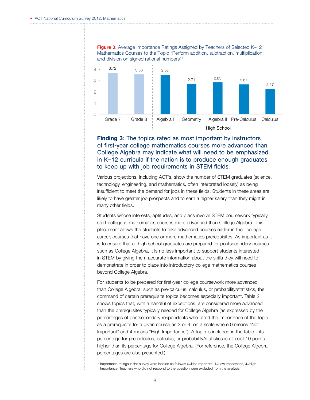

Finding 3: The topics rated as most important by instructors of first-year college mathematics courses more advanced than College Algebra may indicate what will need to be emphasized in K–12 curricula if the nation is to produce enough graduates to keep up with job requirements in STEM fields.

Various projections, including ACT's, show the number of STEM graduates (science, technology, engineering, and mathematics, often interpreted loosely) as being insufficient to meet the demand for jobs in these fields. Students in these areas are likely to have greater job prospects and to earn a higher salary than they might in many other fields.

Students whose interests, aptitudes, and plans involve STEM coursework typically start college in mathematics courses more advanced than College Algebra. This placement allows the students to take advanced courses earlier in their college career, courses that have one or more mathematics prerequisites. As important as it is to ensure that all high school graduates are prepared for postsecondary courses such as College Algebra, it is no less important to support students interested in STEM by giving them accurate information about the skills they will need to demonstrate in order to place into introductory college mathematics courses beyond College Algebra.

For students to be prepared for first-year college coursework more advanced than College Algebra, such as pre-calculus, calculus, or probability/statistics, the command of certain prerequisite topics becomes especially important. Table 2 shows topics that, with a handful of exceptions, are considered more advanced than the prerequisites typically needed for College Algebra (as expressed by the percentages of postsecondary respondents who rated the importance of the topic as a prerequisite for a given course as 3 or 4, on a scale where 0 means "Not Important" and 4 means "High Importance"). A topic is included in the table if its percentage for pre-calculus, calculus, or probability/statistics is at least 10 points higher than its percentage for College Algebra. (For reference, the College Algebra percentages are also presented.)

<sup>4</sup> Importance ratings in the survey were labeled as follows: 0=Not Important, 1=Low Importance, 4=High Importance. Teachers who did not respond to the question were excluded from the analysis.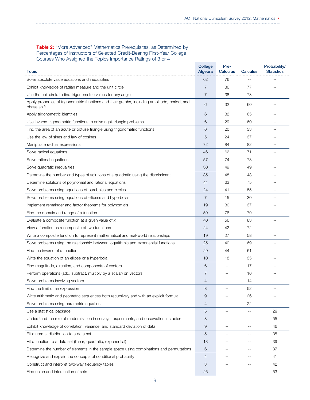#### Table 2: "More Advanced" Mathematics Prerequisites, as Determined by Percentages of Instructors of Selected Credit-Bearing First-Year College Courses Who Assigned the Topics Importance Ratings of 3 or 4

| <b>Topic</b>                                                                                   | College<br>Algebra | Pre-<br>Calculus         | Calculus          | Probability/<br><b>Statistics</b> |
|------------------------------------------------------------------------------------------------|--------------------|--------------------------|-------------------|-----------------------------------|
| Solve absolute value equations and inequalities                                                | 62                 | 76                       |                   |                                   |
| Exhibit knowledge of radian measure and the unit circle                                        | 7                  | 36                       | 77                |                                   |
| Use the unit circle to find trigonometric values for any angle                                 |                    | 38                       | 73                | --                                |
| Apply properties of trigonometric functions and their graphs, including amplitude, period, and | 7                  |                          |                   |                                   |
| phase shift                                                                                    | 6                  | 32                       | 60                |                                   |
| Apply trigonometric identities                                                                 | 6                  | 32                       | 65                |                                   |
| Use inverse trigonometric functions to solve right-triangle problems                           |                    | 29                       | 60                |                                   |
| Find the area of an acute or obtuse triangle using trigonometric functions                     | 6                  | 20                       | 33                |                                   |
| Use the law of sines and law of cosines                                                        |                    | 24                       | 37                |                                   |
| Manipulate radical expressions                                                                 | 72                 | 84                       | 82                | --                                |
| Solve radical equations                                                                        | 46                 | 62                       | 71                |                                   |
| Solve rational equations                                                                       | 57                 | 74                       | 78                |                                   |
| Solve quadratic inequalities                                                                   | 30                 | 49                       | 49                |                                   |
| Determine the number and types of solutions of a quadratic using the discriminant              | 35                 | 48                       | 48                |                                   |
| Determine solutions of polynomial and rational equations                                       | 44                 | 63                       | 75                |                                   |
| Solve problems using equations of parabolas and circles                                        | 24                 | 41                       | 55                |                                   |
| Solve problems using equations of ellipses and hyperbolas                                      | 7                  | 15                       | 30                |                                   |
| Implement remainder and factor theorems for polynomials                                        | 19                 | 30                       | 37                |                                   |
| Find the domain and range of a function                                                        | 59                 | 76                       | 79                |                                   |
| Evaluate a composite function at a given value of $x$                                          | 40                 | 56                       | 83                |                                   |
| View a function as a composite of two functions                                                |                    | 42                       | 72                |                                   |
| Write a composite function to represent mathematical and real-world relationships              | 19                 | 27                       | 58                |                                   |
| Solve problems using the relationship between logarithmic and exponential functions            |                    | 40                       | 69                |                                   |
| Find the inverse of a function                                                                 |                    | 44                       | 61                |                                   |
| Write the equation of an ellipse or a hyperbola                                                |                    | 18                       | 35                | --                                |
| Find magnitude, direction, and components of vectors                                           | 6                  | $- \, -$                 | 17                |                                   |
| Perform operations (add, subtract, multiply by a scalar) on vectors                            | 7                  |                          | 16                |                                   |
| Solve problems involving vectors                                                               | 4                  |                          | 14                |                                   |
| Find the limit of an expression                                                                | 8                  |                          | 52                |                                   |
| Write arithmetic and geometric sequences both recursively and with an explicit formula         | 9                  | $-$                      | 26                | --                                |
| Solve problems using parametric equations                                                      |                    | $-$                      | 22                |                                   |
| Use a statistical package                                                                      |                    | $\overline{\phantom{m}}$ | $-$               | 29                                |
| Understand the role of randomization in surveys, experiments, and observational studies        |                    |                          | $-$               | 55                                |
| Exhibit knowledge of correlation, variance, and standard deviation of data                     |                    | $-$                      | $\qquad \qquad -$ | 46                                |
| Fit a normal distribution to a data set                                                        |                    | $- -$                    | $\qquad \qquad -$ | 35                                |
| Fit a function to a data set (linear, quadratic, exponential)                                  |                    | $-$                      | $-$               | 39                                |
| Determine the number of elements in the sample space using combinations and permutations       |                    | $-$                      | $-$               | 37                                |
| Recognize and explain the concepts of conditional probability                                  |                    | $-$                      | $-$               | 41                                |
| Construct and interpret two-way frequency tables                                               |                    |                          | $-1$              | 42                                |
| Find union and intersection of sets                                                            |                    |                          | --                | 53                                |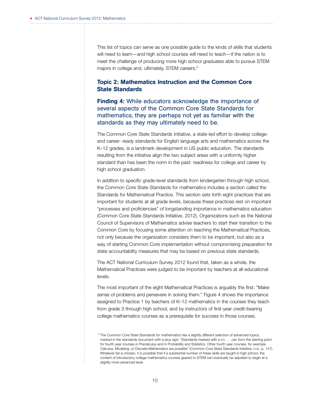This list of topics can serve as one possible guide to the kinds of skills that students will need to learn—and high school courses will need to teach—if the nation is to meet the challenge of producing more high school graduates able to pursue STEM majors in college and, ultimately, STEM careers.<sup>5</sup>

## Topic 2: Mathematics Instruction and the Common Core State Standards

**Finding 4:** While educators acknowledge the importance of several aspects of the Common Core State Standards for mathematics, they are perhaps not yet as familiar with the standards as they may ultimately need to be.

The Common Core State Standards Initiative, a state-led effort to develop collegeand career- ready standards for English language arts and mathematics across the K–12 grades, is a landmark development in US public education. The standards resulting from the initiative align the two subject areas with a uniformly higher standard than has been the norm in the past: readiness for college and career by high school graduation.

In addition to specific grade-level standards from kindergarten through high school, the Common Core State Standards for mathematics includes a section called the Standards for Mathematical Practice. This section sets forth eight practices that are important for students at all grade levels, because these practices rest on important "processes and proficiencies" of longstanding importance in mathematics education (Common Core State Standards Initiative, 2012). Organizations such as the National Council of Supervisors of Mathematics advise teachers to start their transition to the Common Core by focusing some attention on teaching the Mathematical Practices, not only because the organization considers them to be important, but also as a way of starting Common Core implementation without compromising preparation for state accountability measures that may be based on previous state standards.

The ACT National Curriculum Survey 2012 found that, taken as a whole, the Mathematical Practices were judged to be important by teachers at all educational levels.

The most important of the eight Mathematical Practices is arguably the first: "Make sense of problems and persevere in solving them." Figure 4 shows the importance assigned to Practice 1 by teachers of K–12 mathematics in the courses they teach from grade 3 through high school, and by instructors of first-year credit-bearing college mathematics courses as a prerequisite for success in those courses.

<sup>5</sup> The Common Core State Standards for mathematics has a slightly different selection of advanced topics, marked in the standards document with a plus sign: "Standards marked with a (+) . . . can form the starting point for fourth year courses in Precalculus and in Probability and Statistics. Other fourth year courses, for example Calculus, Modeling, or Discrete Mathematics are possible" (Common Core State Standards Initiative, n.d., p. 147). Whatever list is chosen, it is possible that if a substantial number of these skills are taught in high school, the content of introductory college mathematics courses geared to STEM can eventually be adjusted to begin at a slightly more advanced level.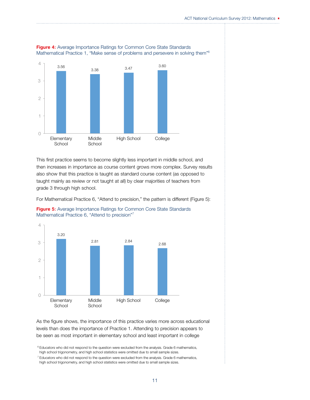

Figure 4: Average Importance Ratings for Common Core State Standards Mathematical Practice 1, "Make sense of problems and persevere in solving them"6

This first practice seems to become slightly less important in middle school, and then increases in importance as course content grows more complex. Survey results also show that this practice is taught as standard course content (as opposed to taught mainly as review or not taught at all) by clear majorities of teachers from grade 3 through high school.

For Mathematical Practice 6, "Attend to precision," the pattern is different (Figure 5):





As the figure shows, the importance of this practice varies more across educational levels than does the importance of Practice 1. Attending to precision appears to be seen as most important in elementary school and least important in college

<sup>6</sup> Educators who did not respond to the question were excluded from the analysis. Grade 6 mathematics, high school trigonometry, and high school statistics were omitted due to small sample sizes.

 $7$  Educators who did not respond to the question were excluded from the analysis. Grade 6 mathematics, high school trigonometry, and high school statistics were omitted due to small sample sizes.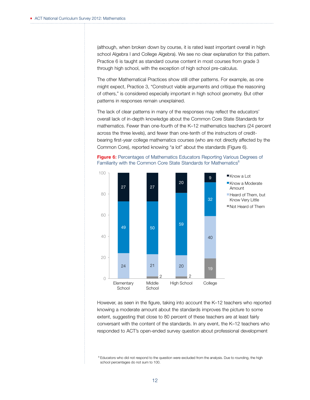(although, when broken down by course, it is rated least important overall in high school Algebra I and College Algebra). We see no clear explanation for this pattern. Practice 6 is taught as standard course content in most courses from grade 3 through high school, with the exception of high school pre-calculus.

The other Mathematical Practices show still other patterns. For example, as one might expect, Practice 3, "Construct viable arguments and critique the reasoning of others," is considered especially important in high school geometry. But other patterns in responses remain unexplained.

The lack of clear patterns in many of the responses may reflect the educators' overall lack of in-depth knowledge about the Common Core State Standards for mathematics. Fewer than one-fourth of the K–12 mathematics teachers (24 percent across the three levels), and fewer than one-tenth of the instructors of creditbearing first-year college mathematics courses (who are not directly affected by the Common Core), reported knowing "a lot" about the standards (Figure 6).





However, as seen in the figure, taking into account the K–12 teachers who reported knowing a moderate amount about the standards improves the picture to some extent, suggesting that close to 80 percent of these teachers are at least fairly conversant with the content of the standards. In any event, the K–12 teachers who responded to ACT's open-ended survey question about professional development

<sup>8</sup> Educators who did not respond to the question were excluded from the analysis. Due to rounding, the high school percentages do not sum to 100.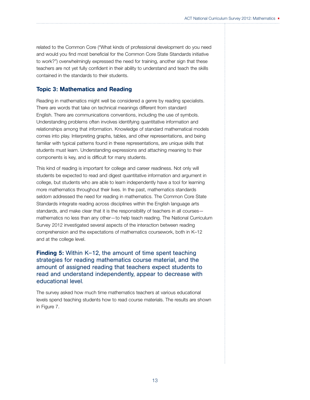related to the Common Core ("What kinds of professional development do you need and would you find most beneficial for the Common Core State Standards initiative to work?") overwhelmingly expressed the need for training, another sign that these teachers are not yet fully confident in their ability to understand and teach the skills contained in the standards to their students.

#### Topic 3: Mathematics and Reading

Reading in mathematics might well be considered a genre by reading specialists. There are words that take on technical meanings different from standard English. There are communications conventions, including the use of symbols. Understanding problems often involves identifying quantitative information and relationships among that information. Knowledge of standard mathematical models comes into play. Interpreting graphs, tables, and other representations, and being familiar with typical patterns found in these representations, are unique skills that students must learn. Understanding expressions and attaching meaning to their components is key, and is difficult for many students.

This kind of reading is important for college and career readiness. Not only will students be expected to read and digest quantitative information and argument in college, but students who are able to learn independently have a tool for learning more mathematics throughout their lives. In the past, mathematics standards seldom addressed the need for reading in mathematics. The Common Core State Standards integrate reading across disciplines within the English language arts standards, and make clear that it is the responsibility of teachers in all courses mathematics no less than any other—to help teach reading. The National Curriculum Survey 2012 investigated several aspects of the interaction between reading comprehension and the expectations of mathematics coursework, both in K–12 and at the college level.

Finding 5: Within K–12, the amount of time spent teaching strategies for reading mathematics course material, and the amount of assigned reading that teachers expect students to read and understand independently, appear to decrease with educational level.

The survey asked how much time mathematics teachers at various educational levels spend teaching students how to read course materials. The results are shown in Figure 7.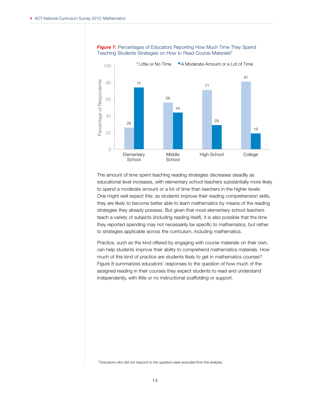

#### Figure 7: Percentages of Educators Reporting How Much Time They Spend Teaching Students Strategies on How to Read Course Materials<sup>9</sup>

The amount of time spent teaching reading strategies decreases steadily as educational level increases, with elementary school teachers substantially more likely to spend a moderate amount or a lot of time than teachers in the higher levels. One might well expect this: as students improve their reading comprehension skills, they are likely to become better able to learn mathematics by means of the reading strategies they already possess. But given that most elementary school teachers teach a variety of subjects (including reading itself), it is also possible that the time they reported spending may not necessarily be specific to mathematics, but rather to strategies applicable across the curriculum, including mathematics.

Practice, such as the kind offered by engaging with course materials on their own, can help students improve their ability to comprehend mathematics materials. How much of this kind of practice are students likely to get in mathematics courses? Figure 8 summarizes educators' responses to the question of how much of the assigned reading in their courses they expect students to read and understand independently, with little or no instructional scaffolding or support.

<sup>9</sup> Educators who did not respond to the question were excluded from the analysis.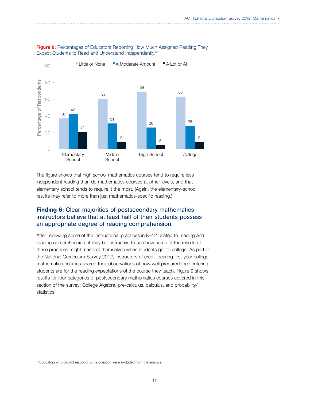

Figure 8: Percentages of Educators Reporting How Much Assigned Reading They Expect Students to Read and Understand Independently<sup>10</sup>

The figure shows that high school mathematics courses tend to require less independent reading than do mathematics courses at other levels, and that elementary school tends to require it the most. (Again, the elementary-school results may refer to more than just mathematics-specific reading.)

## **Finding 6:** Clear majorities of postsecondary mathematics instructors believe that at least half of their students possess an appropriate degree of reading comprehension.

After reviewing some of the instructional practices in K–12 related to reading and reading comprehension, it may be instructive to see how some of the results of these practices might manifest themselves when students get to college. As part of the National Curriculum Survey 2012, instructors of credit-bearing first-year college mathematics courses shared their observations of how well prepared their entering students are for the reading expectations of the course they teach. Figure 9 shows results for four categories of postsecondary mathematics courses covered in this section of the survey: College Algebra, pre-calculus, calculus, and probability/ statistics.

<sup>10</sup> Educators who did not respond to the question were excluded from the analysis.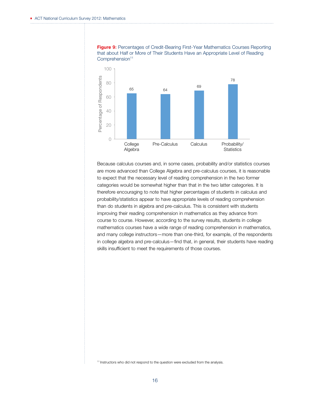

Figure 9: Percentages of Credit-Bearing First-Year Mathematics Courses Reporting that about Half or More of Their Students Have an Appropriate Level of Reading Comprehension<sup>11</sup>

Because calculus courses and, in some cases, probability and/or statistics courses are more advanced than College Algebra and pre-calculus courses, it is reasonable to expect that the necessary level of reading comprehension in the two former categories would be somewhat higher than that in the two latter categories. It is therefore encouraging to note that higher percentages of students in calculus and probability/statistics appear to have appropriate levels of reading comprehension than do students in algebra and pre-calculus. This is consistent with students improving their reading comprehension in mathematics as they advance from course to course. However, according to the survey results, students in college mathematics courses have a wide range of reading comprehension in mathematics, and many college instructors—more than one-third, for example, of the respondents in college algebra and pre-calculus—find that, in general, their students have reading skills insufficient to meet the requirements of those courses.

<sup>11</sup> Instructors who did not respond to the question were excluded from the analysis.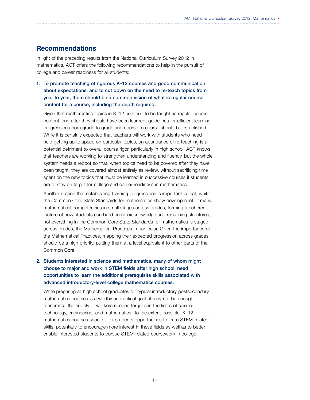## Recommendations

In light of the preceding results from the National Curriculum Survey 2012 in mathematics, ACT offers the following recommendations to help in the pursuit of college and career readiness for all students:

1. To promote teaching of rigorous K–12 courses and good communication about expectations, and to cut down on the need to re-teach topics from year to year, there should be a common vision of what is regular course content for a course, including the depth required.

Given that mathematics topics in K–12 continue to be taught as regular course content long after they should have been learned, guidelines for efficient learning progressions from grade to grade and course to course should be established. While it is certainly expected that teachers will work with students who need help getting up to speed on particular topics, an abundance of re-teaching is a potential detriment to overall course rigor, particularly in high school. ACT knows that teachers are working to strengthen understanding and fluency, but the whole system needs a reboot so that, when topics need to be covered after they have been taught, they are covered almost entirely as review, without sacrificing time spent on the new topics that must be learned in successive courses if students are to stay on target for college and career readiness in mathematics.

Another reason that establishing learning progressions is important is that, while the Common Core State Standards for mathematics show development of many mathematical competencies in small stages across grades, forming a coherent picture of how students can build complex knowledge and reasoning structures, not everything in the Common Core State Standards for mathematics is staged across grades, the Mathematical Practices in particular. Given the importance of the Mathematical Practices, mapping their expected progression across grades should be a high priority, putting them at a level equivalent to other parts of the Common Core.

2. Students interested in science and mathematics, many of whom might choose to major and work in STEM fields after high school, need opportunities to learn the additional prerequisite skills associated with advanced introductory-level college mathematics courses.

While preparing all high school graduates for typical introductory postsecondary mathematics courses is a worthy and critical goal, it may not be enough to increase the supply of workers needed for jobs in the fields of science, technology, engineering, and mathematics. To the extent possible, K–12 mathematics courses should offer students opportunities to learn STEM-related skills, potentially to encourage more interest in these fields as well as to better enable interested students to pursue STEM-related coursework in college.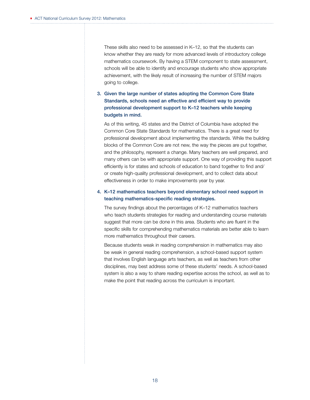These skills also need to be assessed in K–12, so that the students can know whether they are ready for more advanced levels of introductory college mathematics coursework. By having a STEM component to state assessment, schools will be able to identify and encourage students who show appropriate achievement, with the likely result of increasing the number of STEM majors going to college.

#### 3. Given the large number of states adopting the Common Core State Standards, schools need an effective and efficient way to provide professional development support to K–12 teachers while keeping budgets in mind.

As of this writing, 45 states and the District of Columbia have adopted the Common Core State Standards for mathematics. There is a great need for professional development about implementing the standards. While the building blocks of the Common Core are not new, the way the pieces are put together, and the philosophy, represent a change. Many teachers are well prepared, and many others can be with appropriate support. One way of providing this support efficiently is for states and schools of education to band together to find and/ or create high-quality professional development, and to collect data about effectiveness in order to make improvements year by year.

#### 4. K–12 mathematics teachers beyond elementary school need support in teaching mathematics-specific reading strategies.

The survey findings about the percentages of K–12 mathematics teachers who teach students strategies for reading and understanding course materials suggest that more can be done in this area. Students who are fluent in the specific skills for comprehending mathematics materials are better able to learn more mathematics throughout their careers.

Because students weak in reading comprehension in mathematics may also be weak in general reading comprehension, a school-based support system that involves English language arts teachers, as well as teachers from other disciplines, may best address some of these students' needs. A school-based system is also a way to share reading expertise across the school, as well as to make the point that reading across the curriculum is important.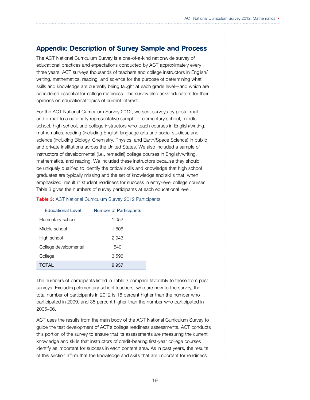# Appendix: Description of Survey Sample and Process

The ACT National Curriculum Survey is a one-of-a-kind nationwide survey of educational practices and expectations conducted by ACT approximately every three years. ACT surveys thousands of teachers and college instructors in English/ writing, mathematics, reading, and science for the purpose of determining what skills and knowledge are currently being taught at each grade level—and which are considered essential for college readiness. The survey also asks educators for their opinions on educational topics of current interest.

For the ACT National Curriculum Survey 2012, we sent surveys by postal mail and e-mail to a nationally representative sample of elementary school, middle school, high school, and college instructors who teach courses in English/writing, mathematics, reading (including English language arts and social studies), and science (including Biology, Chemistry, Physics, and Earth/Space Science) in public and private institutions across the United States. We also included a sample of instructors of developmental (i.e., remedial) college courses in English/writing, mathematics, and reading. We included these instructors because they should be uniquely qualified to identify the critical skills and knowledge that high school graduates are typically missing and the set of knowledge and skills that, when emphasized, result in student readiness for success in entry-level college courses. Table 3 gives the numbers of survey participants at each educational level.

#### Table 3: ACT National Curriculum Survey 2012 Participants

| <b>Educational Level</b> | <b>Number of Participants</b> |
|--------------------------|-------------------------------|
| Elementary school        | 1,052                         |
| Middle school            | 1,806                         |
| High school              | 2.943                         |
| College developmental    | 540                           |
| College                  | 3,596                         |
| <b>TOTAL</b>             | 9.937                         |

The numbers of participants listed in Table 3 compare favorably to those from past surveys. Excluding elementary school teachers, who are new to the survey, the total number of participants in 2012 is 16 percent higher than the number who participated in 2009, and 35 percent higher than the number who participated in 2005–06.

ACT uses the results from the main body of the ACT National Curriculum Survey to guide the test development of ACT's college readiness assessments. ACT conducts this portion of the survey to ensure that its assessments are measuring the current knowledge and skills that instructors of credit-bearing first-year college courses identify as important for success in each content area. As in past years, the results of this section affirm that the knowledge and skills that are important for readiness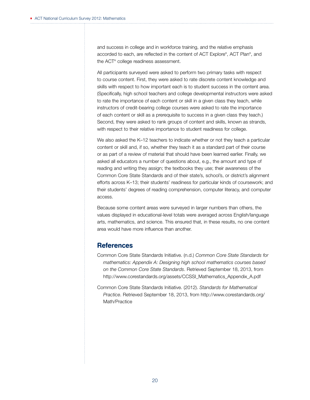and success in college and in workforce training, and the relative emphasis accorded to each, are reflected in the content of ACT Explore® , ACT Plan® , and the ACT® college readiness assessment.

All participants surveyed were asked to perform two primary tasks with respect to course content. First, they were asked to rate discrete content knowledge and skills with respect to how important each is to student success in the content area. (Specifically, high school teachers and college developmental instructors were asked to rate the importance of each content or skill in a given class they teach, while instructors of credit-bearing college courses were asked to rate the importance of each content or skill as a prerequisite to success in a given class they teach.) Second, they were asked to rank groups of content and skills, known as strands, with respect to their relative importance to student readiness for college.

We also asked the K-12 teachers to indicate whether or not they teach a particular content or skill and, if so, whether they teach it as a standard part of their course or as part of a review of material that should have been learned earlier. Finally, we asked all educators a number of questions about, e.g., the amount and type of reading and writing they assign; the textbooks they use; their awareness of the Common Core State Standards and of their state's, school's, or district's alignment efforts across K–13; their students' readiness for particular kinds of coursework; and their students' degrees of reading comprehension, computer literacy, and computer access.

Because some content areas were surveyed in larger numbers than others, the values displayed in educational-level totals were averaged across English/language arts, mathematics, and science. This ensured that, in these results, no one content area would have more influence than another.

## **References**

- Common Core State Standards Initiative. (n.d.) *Common Core State Standards for mathematics: Appendix A: Designing high school mathematics courses based on the Common Core State Standards*. Retrieved September 18, 2013, from http://www.corestandards.org/assets/CCSSI\_Mathematics\_Appendix\_A.pdf
- Common Core State Standards Initiative. (2012). *Standards for Mathematical Practice*. Retrieved September 18, 2013, from http://www.corestandards.org/ Math/Practice